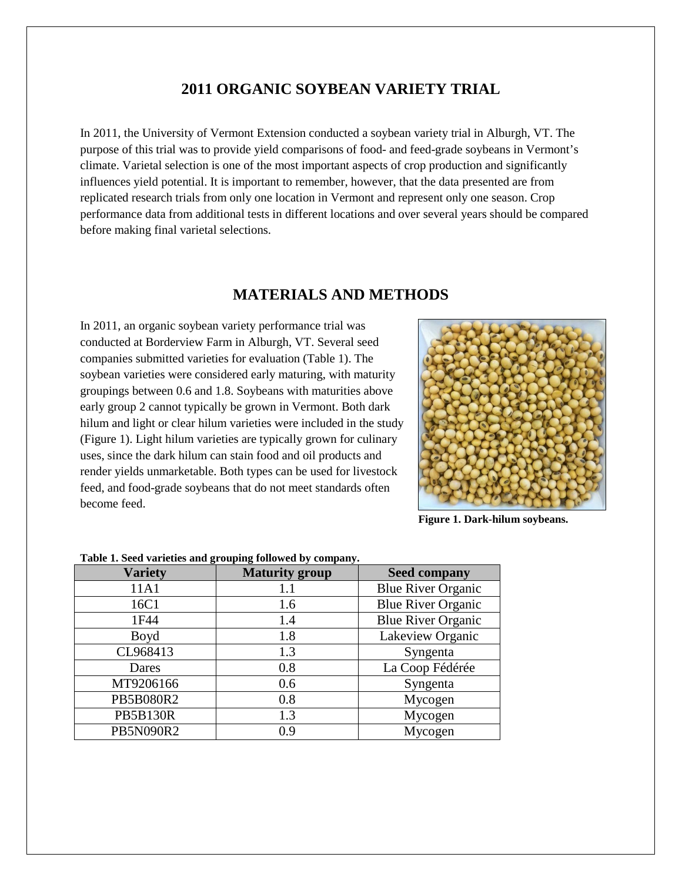### **2011 ORGANIC SOYBEAN VARIETY TRIAL**

In 2011, the University of Vermont Extension conducted a soybean variety trial in Alburgh, VT. The purpose of this trial was to provide yield comparisons of food- and feed-grade soybeans in Vermont's climate. Varietal selection is one of the most important aspects of crop production and significantly influences yield potential. It is important to remember, however, that the data presented are from replicated research trials from only one location in Vermont and represent only one season. Crop performance data from additional tests in different locations and over several years should be compared before making final varietal selections.

### **MATERIALS AND METHODS**

In 2011, an organic soybean variety performance trial was conducted at Borderview Farm in Alburgh, VT. Several seed companies submitted varieties for evaluation (Table 1). The soybean varieties were considered early maturing, with maturity groupings between 0.6 and 1.8. Soybeans with maturities above early group 2 cannot typically be grown in Vermont. Both dark hilum and light or clear hilum varieties were included in the study (Figure 1). Light hilum varieties are typically grown for culinary uses, since the dark hilum can stain food and oil products and render yields unmarketable. Both types can be used for livestock feed, and food-grade soybeans that do not meet standards often become feed.



**Figure 1. Dark-hilum soybeans.**

| <b>Variety</b>  | <b>Maturity group</b> | <b>Seed company</b>       |
|-----------------|-----------------------|---------------------------|
| 11A1            | 1.1                   | <b>Blue River Organic</b> |
| 16C1            | 1.6                   | <b>Blue River Organic</b> |
| 1F44            | 1.4                   | <b>Blue River Organic</b> |
| Boyd            | 1.8                   | Lakeview Organic          |
| CL968413        | 1.3                   | Syngenta                  |
| Dares           | 0.8                   | La Coop Fédérée           |
| MT9206166       | 0.6                   | Syngenta                  |
| PB5B080R2       | 0.8                   | Mycogen                   |
| <b>PB5B130R</b> | 1.3                   | Mycogen                   |
| PB5N090R2       | 0.9                   | Mycogen                   |

**Table 1. Seed varieties and grouping followed by company.**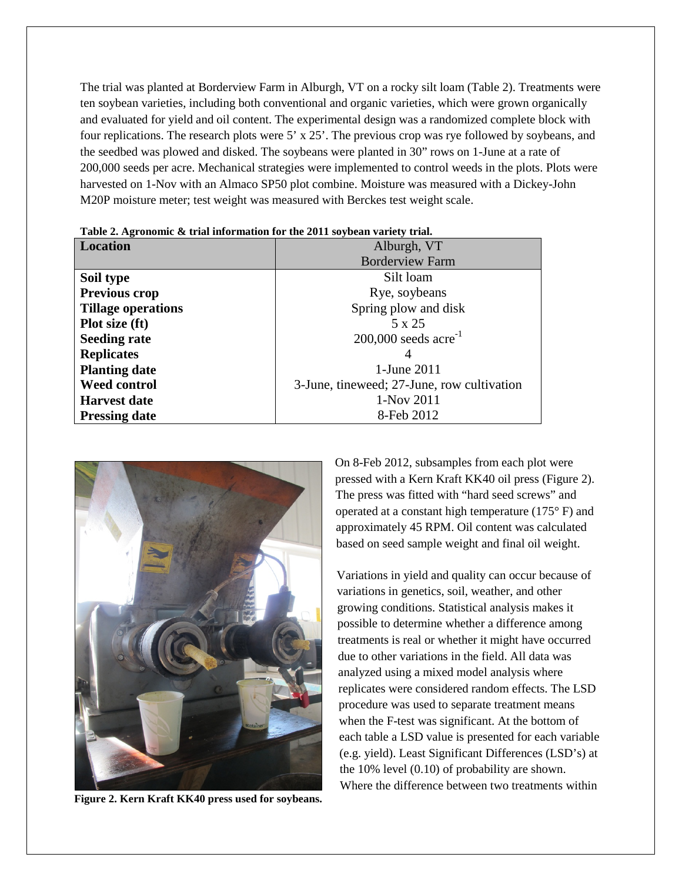The trial was planted at Borderview Farm in Alburgh, VT on a rocky silt loam (Table 2). Treatments were ten soybean varieties, including both conventional and organic varieties, which were grown organically and evaluated for yield and oil content. The experimental design was a randomized complete block with four replications. The research plots were 5' x 25'. The previous crop was rye followed by soybeans, and the seedbed was plowed and disked. The soybeans were planted in 30" rows on 1-June at a rate of 200,000 seeds per acre. Mechanical strategies were implemented to control weeds in the plots. Plots were harvested on 1-Nov with an Almaco SP50 plot combine. Moisture was measured with a Dickey-John M20P moisture meter; test weight was measured with Berckes test weight scale.

| <b>Location</b>           | Alburgh, VT                                |  |  |
|---------------------------|--------------------------------------------|--|--|
|                           | <b>Borderview Farm</b>                     |  |  |
| Soil type                 | Silt loam                                  |  |  |
| <b>Previous crop</b>      | Rye, soybeans                              |  |  |
| <b>Tillage operations</b> | Spring plow and disk                       |  |  |
| <b>Plot size (ft)</b>     | 5 x 25                                     |  |  |
| <b>Seeding rate</b>       | $200,000$ seeds acre <sup>-1</sup>         |  |  |
| <b>Replicates</b>         |                                            |  |  |
| <b>Planting date</b>      | 1-June 2011                                |  |  |
| <b>Weed control</b>       | 3-June, tineweed; 27-June, row cultivation |  |  |
| <b>Harvest date</b>       | 1-Nov 2011                                 |  |  |
| <b>Pressing date</b>      | 8-Feb 2012                                 |  |  |

**Table 2. Agronomic & trial information for the 2011 soybean variety trial.**



**Figure 2. Kern Kraft KK40 press used for soybeans.**

On 8-Feb 2012, subsamples from each plot were pressed with a Kern Kraft KK40 oil press (Figure 2). The press was fitted with "hard seed screws" and operated at a constant high temperature (175° F) and approximately 45 RPM. Oil content was calculated based on seed sample weight and final oil weight.

Variations in yield and quality can occur because of variations in genetics, soil, weather, and other growing conditions. Statistical analysis makes it possible to determine whether a difference among treatments is real or whether it might have occurred due to other variations in the field. All data was analyzed using a mixed model analysis where replicates were considered random effects. The LSD procedure was used to separate treatment means when the F-test was significant. At the bottom of each table a LSD value is presented for each variable (e.g. yield). Least Significant Differences (LSD's) at the 10% level (0.10) of probability are shown. Where the difference between two treatments within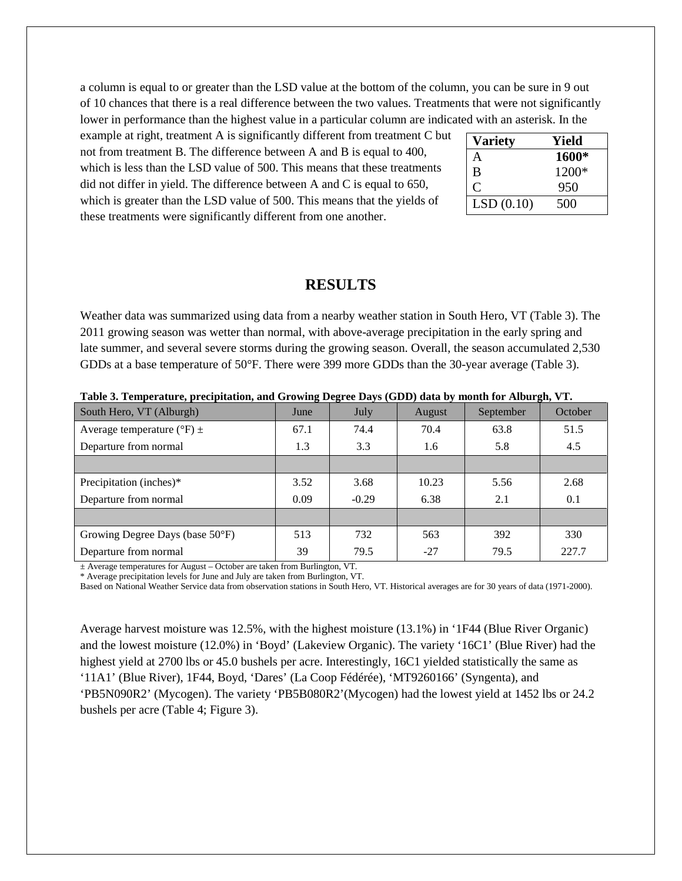a column is equal to or greater than the LSD value at the bottom of the column, you can be sure in 9 out of 10 chances that there is a real difference between the two values. Treatments that were not significantly lower in performance than the highest value in a particular column are indicated with an asterisk. In the

example at right, treatment A is significantly different from treatment C but not from treatment B. The difference between A and B is equal to 400, which is less than the LSD value of 500. This means that these treatments did not differ in yield. The difference between A and C is equal to 650, which is greater than the LSD value of 500. This means that the yields of these treatments were significantly different from one another.

| Variety   | Yield   |
|-----------|---------|
| A         | 1600*   |
| B         | $1200*$ |
|           | 950     |
| LSD(0.10) | 500     |

#### **RESULTS**

Weather data was summarized using data from a nearby weather station in South Hero, VT (Table 3). The 2011 growing season was wetter than normal, with above-average precipitation in the early spring and late summer, and several severe storms during the growing season. Overall, the season accumulated 2,530 GDDs at a base temperature of 50°F. There were 399 more GDDs than the 30-year average (Table 3).

| South Hero, VT (Alburgh)                    | June | July       | August | September | October |
|---------------------------------------------|------|------------|--------|-----------|---------|
| Average temperature ( ${}^{\circ}$ F) $\pm$ | 67.1 | 74.4       | 70.4   | 63.8      | 51.5    |
| Departure from normal                       | 1.3  | 3.3<br>1.6 |        | 5.8       | 4.5     |
|                                             |      |            |        |           |         |
| Precipitation (inches)*                     | 3.52 | 3.68       | 10.23  | 5.56      | 2.68    |
| Departure from normal                       | 0.09 | $-0.29$    | 6.38   | 2.1       | 0.1     |
|                                             |      |            |        |           |         |
| Growing Degree Days (base 50°F)             | 513  | 732        | 563    | 392       | 330     |
| Departure from normal                       | 39   | 79.5       | $-27$  | 79.5      | 227.7   |

**Table 3. Temperature, precipitation, and Growing Degree Days (GDD) data by month for Alburgh, VT.**

 $±$  Average temperatures for August – October are taken from Burlington, VT.

\* Average precipitation levels for June and July are taken from Burlington, VT.

Based on National Weather Service data from observation stations in South Hero, VT. Historical averages are for 30 years of data (1971-2000).

Average harvest moisture was 12.5%, with the highest moisture (13.1%) in '1F44 (Blue River Organic) and the lowest moisture (12.0%) in 'Boyd' (Lakeview Organic). The variety '16C1' (Blue River) had the highest yield at 2700 lbs or 45.0 bushels per acre. Interestingly, 16C1 yielded statistically the same as '11A1' (Blue River), 1F44, Boyd, 'Dares' (La Coop Fédérée), 'MT9260166' (Syngenta), and 'PB5N090R2' (Mycogen). The variety 'PB5B080R2'(Mycogen) had the lowest yield at 1452 lbs or 24.2 bushels per acre (Table 4; Figure 3).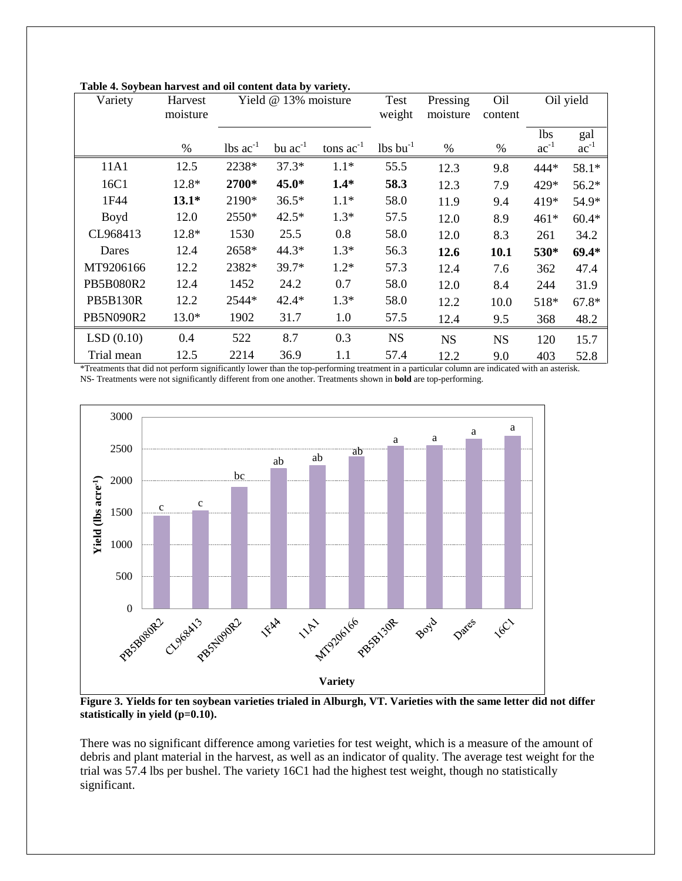| Variety          | Harvest<br>moisture | Yield @ 13% moisture          |              |                | Test<br>weight                 | Pressing<br>moisture | Oil<br>content |                         | Oil yield        |
|------------------|---------------------|-------------------------------|--------------|----------------|--------------------------------|----------------------|----------------|-------------------------|------------------|
|                  | $\%$                | $\text{ lbs } \text{ac}^{-1}$ | bu $ac^{-1}$ | tons $ac^{-1}$ | $\frac{1}{5}$ bu <sup>-1</sup> | $\%$                 | $\%$           | <b>lbs</b><br>$ac^{-1}$ | gal<br>$ac^{-1}$ |
| 11A1             | 12.5                | 2238*                         | $37.3*$      | $1.1*$         | 55.5                           | 12.3                 | 9.8            | 444*                    | 58.1*            |
|                  |                     |                               |              |                |                                |                      |                |                         |                  |
| 16C1             | 12.8*               | 2700*                         | 45.0*        | $1.4*$         | 58.3                           | 12.3                 | 7.9            | 429*                    | 56.2*            |
| 1F44             | $13.1*$             | 2190*                         | $36.5*$      | $1.1*$         | 58.0                           | 11.9                 | 9.4            | 419*                    | 54.9*            |
| <b>Boyd</b>      | 12.0                | 2550*                         | $42.5*$      | $1.3*$         | 57.5                           | 12.0                 | 8.9            | $461*$                  | $60.4*$          |
| CL968413         | 12.8*               | 1530                          | 25.5         | 0.8            | 58.0                           | 12.0                 | 8.3            | 261                     | 34.2             |
| Dares            | 12.4                | 2658*                         | 44.3*        | $1.3*$         | 56.3                           | 12.6                 | 10.1           | 530*                    | $69.4*$          |
| MT9206166        | 12.2                | 2382*                         | $39.7*$      | $1.2*$         | 57.3                           | 12.4                 | 7.6            | 362                     | 47.4             |
| <b>PB5B080R2</b> | 12.4                | 1452                          | 24.2         | 0.7            | 58.0                           | 12.0                 | 8.4            | 244                     | 31.9             |
| <b>PB5B130R</b>  | 12.2                | 2544*                         | $42.4*$      | $1.3*$         | 58.0                           | 12.2                 | 10.0           | 518*                    | $67.8*$          |
| PB5N090R2        | $13.0*$             | 1902                          | 31.7         | 1.0            | 57.5                           | 12.4                 | 9.5            | 368                     | 48.2             |
| LSD(0.10)        | 0.4                 | 522                           | 8.7          | 0.3            | <b>NS</b>                      | <b>NS</b>            | <b>NS</b>      | 120                     | 15.7             |
| Trial mean       | 12.5                | 2214                          | 36.9         | 1.1            | 57.4                           | 12.2                 | 9.0            | 403                     | 52.8             |

**Table 4. Soybean harvest and oil content data by variety.**

\*Treatments that did not perform significantly lower than the top-performing treatment in a particular column are indicated with an asterisk. NS- Treatments were not significantly different from one another. Treatments shown in **bold** are top-performing.



**Figure 3. Yields for ten soybean varieties trialed in Alburgh, VT. Varieties with the same letter did not differ statistically in yield (p=0.10).**

There was no significant difference among varieties for test weight, which is a measure of the amount of debris and plant material in the harvest, as well as an indicator of quality. The average test weight for the trial was 57.4 lbs per bushel. The variety 16C1 had the highest test weight, though no statistically significant.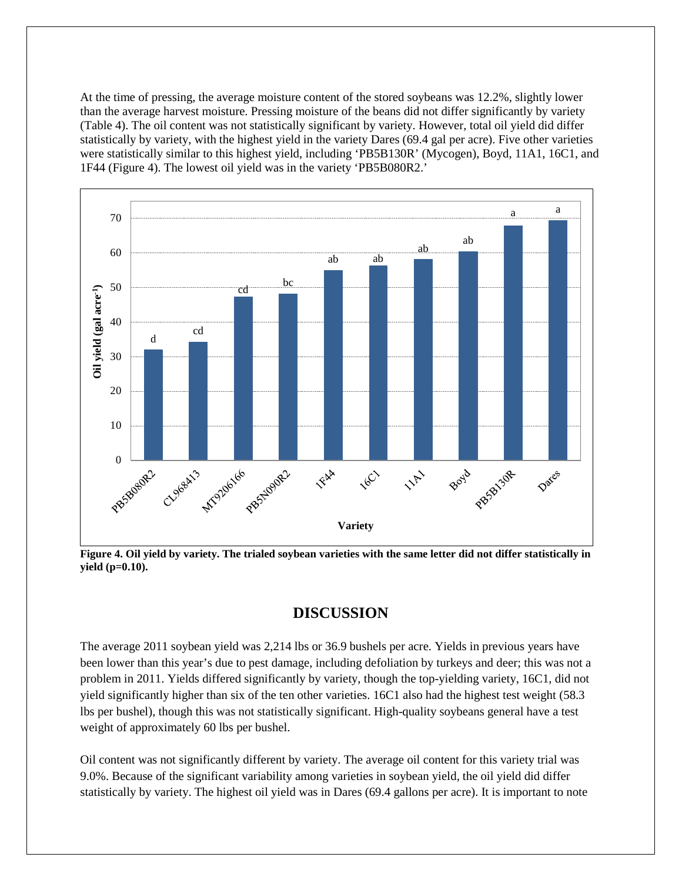At the time of pressing, the average moisture content of the stored soybeans was 12.2%, slightly lower than the average harvest moisture. Pressing moisture of the beans did not differ significantly by variety (Table 4). The oil content was not statistically significant by variety. However, total oil yield did differ statistically by variety, with the highest yield in the variety Dares (69.4 gal per acre). Five other varieties were statistically similar to this highest yield, including 'PB5B130R' (Mycogen), Boyd, 11A1, 16C1, and 1F44 (Figure 4). The lowest oil yield was in the variety 'PB5B080R2.'



**Figure 4. Oil yield by variety. The trialed soybean varieties with the same letter did not differ statistically in yield (p=0.10).**

# **DISCUSSION**

The average 2011 soybean yield was 2,214 lbs or 36.9 bushels per acre. Yields in previous years have been lower than this year's due to pest damage, including defoliation by turkeys and deer; this was not a problem in 2011. Yields differed significantly by variety, though the top-yielding variety, 16C1, did not yield significantly higher than six of the ten other varieties. 16C1 also had the highest test weight (58.3 lbs per bushel), though this was not statistically significant. High-quality soybeans general have a test weight of approximately 60 lbs per bushel.

Oil content was not significantly different by variety. The average oil content for this variety trial was 9.0%. Because of the significant variability among varieties in soybean yield, the oil yield did differ statistically by variety. The highest oil yield was in Dares (69.4 gallons per acre). It is important to note